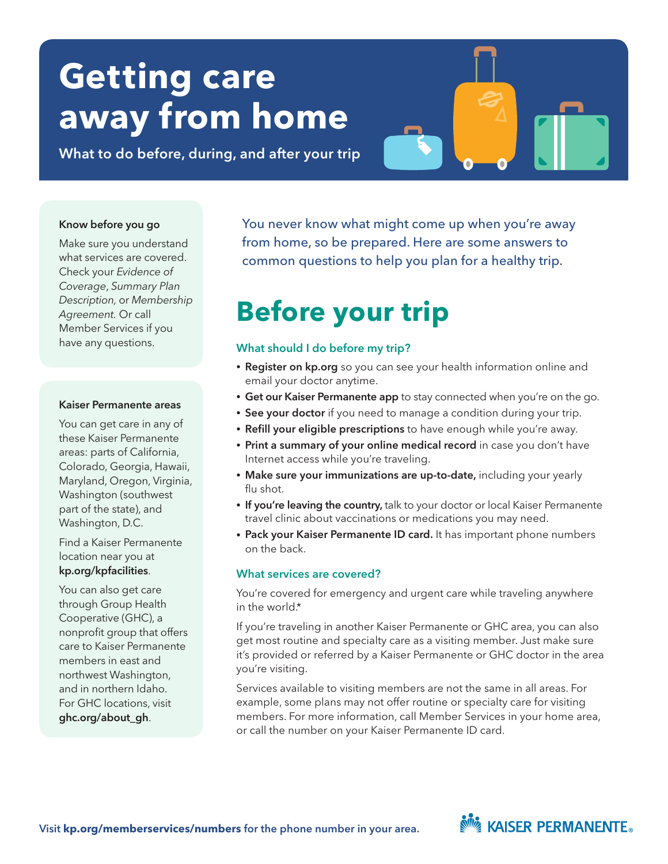# **Getting care away from home**

What to do before, during, and after your trip

#### Know before you go

Make sure you understand what services are covered. Check your *Evidence of Coverage*, *Summary Plan Description,* or *Membership Agreement.* Or call Member Services if you have any questions.

#### Kaiser Permanente areas

You can get care in any of these Kaiser Permanente areas: parts of California, Colorado, Georgia, Hawaii, Maryland, Oregon, Virginia, Washington (southwest part of the state), and Washington, D.C.

Find a Kaiser Permanente location near you at [kp.org/kpfacilities](www.kp.org/kpfacilities).

You can also get care through Group Health Cooperative (GHC), a nonprofit group that offers care to Kaiser Permanente members in east and northwest Washington, and in northern Idaho. For GHC locations, visit [ghc.org/about\\_gh](www.ghc.org/about_gh).

You never know what might come up when you're away from home, so be prepared. Here are some answers to common questions to help you plan for a healthy trip.

## **Before your trip**

#### What should I do before my trip?

- Register on [kp.org](www.kp.org) so you can see your health information online and email your doctor anytime.
- Get our Kaiser Permanente app to stay connected when you're on the go.
- See your doctor if you need to manage a condition during your trip.
- Refill your eligible prescriptions to have enough while you're away.
- Print a summary of your online medical record in case you don't have Internet access while you're traveling.
- Make sure your immunizations are up-to-date, including your yearly flu shot.
- If you're leaving the country, talk to your doctor or local Kaiser Permanente travel clinic about vaccinations or medications you may need.
- Pack your Kaiser Permanente ID card. It has important phone numbers on the back.

#### What services are covered?

You're covered for emergency and urgent care while traveling anywhere in the world.\*

If you're traveling in another Kaiser Permanente or GHC area, you can also get most routine and specialty care as a visiting member. Just make sure it's provided or referred by a Kaiser Permanente or GHC doctor in the area you're visiting.

Services available to visiting members are not the same in all areas. For example, some plans may not offer routine or specialty care for visiting members. For more information, call Member Services in your home area, or call the number on your Kaiser Permanente ID card.

### **NOW KAISER PERMANENTE.**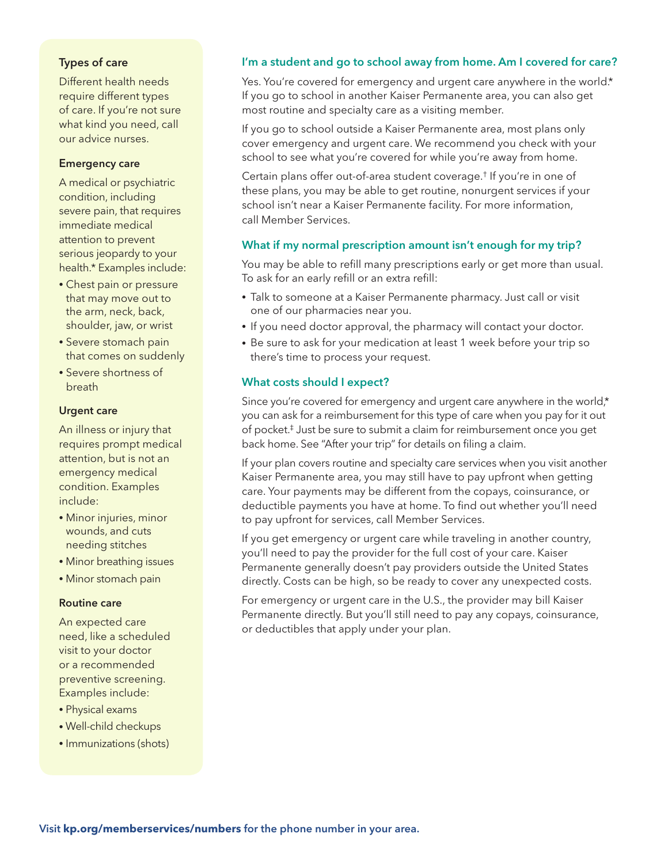#### Types of care

Different health needs require different types of care. If you're not sure what kind you need, call our advice nurses.

#### Emergency care

A medical or psychiatric condition, including severe pain, that requires immediate medical attention to prevent serious jeopardy to your health.\* Examples include:

- Chest pain or pressure that may move out to the arm, neck, back, shoulder, jaw, or wrist
- Severe stomach pain that comes on suddenly
- Severe shortness of breath

#### Urgent care

An illness or injury that requires prompt medical attention, but is not an emergency medical condition. Examples include:

- Minor injuries, minor wounds, and cuts needing stitches
- Minor breathing issues
- Minor stomach pain

#### Routine care

An expected care need, like a scheduled visit to your doctor or a recommended preventive screening. Examples include:

- Physical exams
- Well-child checkups
- Immunizations (shots)

#### I'm a student and go to school away from home. Am I covered for care?

Yes. You're covered for emergency and urgent care anywhere in the world.\* If you go to school in another Kaiser Permanente area, you can also get most routine and specialty care as a visiting member.

If you go to school outside a Kaiser Permanente area, most plans only cover emergency and urgent care. We recommend you check with your school to see what you're covered for while you're away from home.

Certain plans offer out-of-area student coverage.† If you're in one of these plans, you may be able to get routine, nonurgent services if your school isn't near a Kaiser Permanente facility. For more information, call Member Services.

#### What if my normal prescription amount isn't enough for my trip?

You may be able to refill many prescriptions early or get more than usual. To ask for an early refill or an extra refill:

- Talk to someone at a Kaiser Permanente pharmacy. Just call or visit one of our pharmacies near you.
- If you need doctor approval, the pharmacy will contact your doctor.
- Be sure to ask for your medication at least 1 week before your trip so there's time to process your request.

#### What costs should I expect?

Since you're covered for emergency and urgent care anywhere in the world,\* you can ask for a reimbursement for this type of care when you pay for it out of pocket.‡ Just be sure to submit a claim for reimbursement once you get back home. See "After your trip" for details on filing a claim.

If your plan covers routine and specialty care services when you visit another Kaiser Permanente area, you may still have to pay upfront when getting care. Your payments may be different from the copays, coinsurance, or deductible payments you have at home. To find out whether you'll need to pay upfront for services, call Member Services.

If you get emergency or urgent care while traveling in another country, you'll need to pay the provider for the full cost of your care. Kaiser Permanente generally doesn't pay providers outside the United States directly. Costs can be high, so be ready to cover any unexpected costs.

For emergency or urgent care in the U.S., the provider may bill Kaiser Permanente directly. But you'll still need to pay any copays, coinsurance, or deductibles that apply under your plan.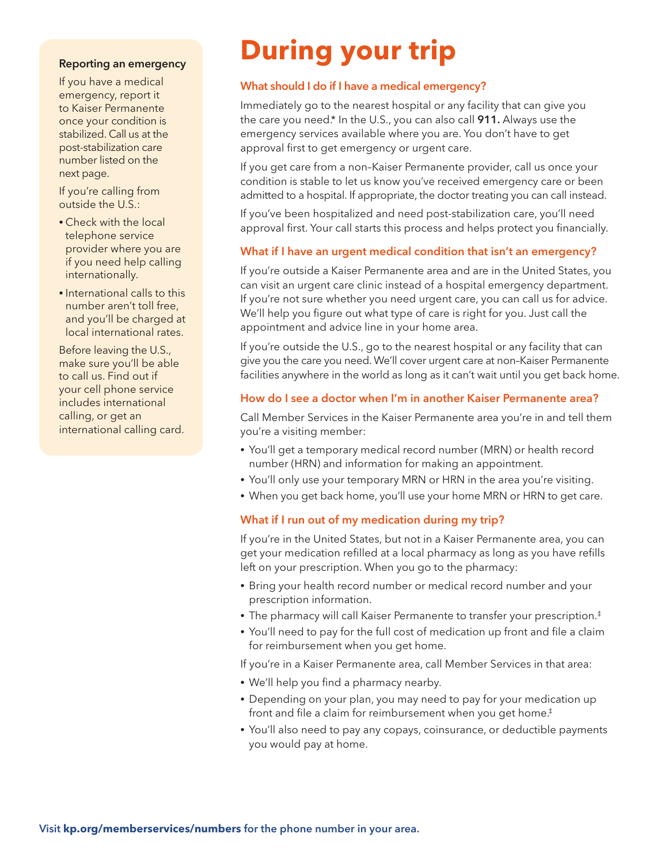#### Reporting an emergency

If you have a medical emergency, report it to Kaiser Permanente once your condition is stabilized. Call us at the post-stabilization care number listed on the next page.

If you're calling from outside the U.S.:

- Check with the local telephone service provider where you are if you need help calling internationally.
- International calls to this number aren't toll free, and you'll be charged at local international rates.

Before leaving the U.S., make sure you'll be able to call us. Find out if your cell phone service includes international calling, or get an international calling card.

## **During your trip**

#### What should I do if I have a medical emergency?

Immediately go to the nearest hospital or any facility that can give you the care you need.\* In the U.S., you can also call 911. Always use the emergency services available where you are. You don't have to get approval first to get emergency or urgent care.

If you get care from a non–Kaiser Permanente provider, call us once your condition is stable to let us know you've received emergency care or been admitted to a hospital. If appropriate, the doctor treating you can call instead.

If you've been hospitalized and need post-stabilization care, you'll need approval first. Your call starts this process and helps protect you financially.

#### What if I have an urgent medical condition that isn't an emergency?

If you're outside a Kaiser Permanente area and are in the United States, you can visit an urgent care clinic instead of a hospital emergency department. If you're not sure whether you need urgent care, you can call us for advice. We'll help you figure out what type of care is right for you. Just call the appointment and advice line in your home area.

If you're outside the U.S., go to the nearest hospital or any facility that can give you the care you need. We'll cover urgent care at non–Kaiser Permanente facilities anywhere in the world as long as it can't wait until you get back home.

#### How do I see a doctor when I'm in another Kaiser Permanente area?

Call Member Services in the Kaiser Permanente area you're in and tell them you're a visiting member:

- You'll get a temporary medical record number (MRN) or health record number (HRN) and information for making an appointment.
- You'll only use your temporary MRN or HRN in the area you're visiting.
- When you get back home, you'll use your home MRN or HRN to get care.

#### What if I run out of my medication during my trip?

If you're in the United States, but not in a Kaiser Permanente area, you can get your medication refilled at a local pharmacy as long as you have refills left on your prescription. When you go to the pharmacy:

- Bring your health record number or medical record number and your prescription information.
- The pharmacy will call Kaiser Permanente to transfer your prescription.‡
- You'll need to pay for the full cost of medication up front and file a claim for reimbursement when you get home.

If you're in a Kaiser Permanente area, call Member Services in that area:

- We'll help you find a pharmacy nearby.
- Depending on your plan, you may need to pay for your medication up front and file a claim for reimbursement when you get home.<sup>#</sup>
- You'll also need to pay any copays, coinsurance, or deductible payments you would pay at home.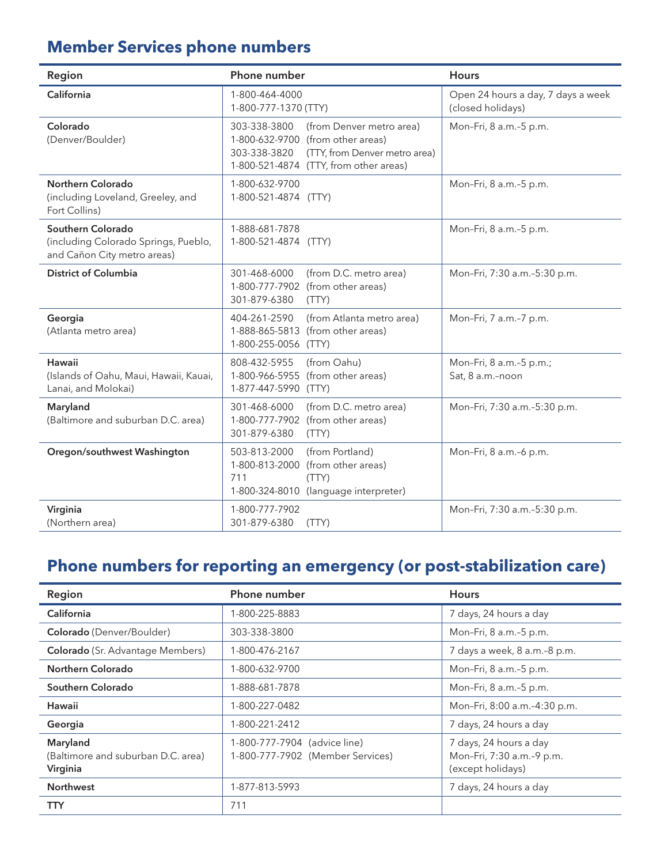### **Member Services phone numbers**

| Region                                                                                   | Phone number                                                                                                                                                             | <b>Hours</b>                                            |
|------------------------------------------------------------------------------------------|--------------------------------------------------------------------------------------------------------------------------------------------------------------------------|---------------------------------------------------------|
| California                                                                               | 1-800-464-4000<br>1-800-777-1370 (TTY)                                                                                                                                   | Open 24 hours a day, 7 days a week<br>(closed holidays) |
| Colorado<br>(Denver/Boulder)                                                             | (from Denver metro area)<br>303-338-3800<br>1-800-632-9700 (from other areas)<br>303-338-3820<br>(TTY, from Denver metro area)<br>1-800-521-4874 (TTY, from other areas) | Mon-Fri, 8 a.m.-5 p.m.                                  |
| Northern Colorado<br>(including Loveland, Greeley, and<br>Fort Collins)                  | 1-800-632-9700<br>1-800-521-4874 (TTY)                                                                                                                                   | Mon-Fri, 8 a.m.-5 p.m.                                  |
| Southern Colorado<br>(including Colorado Springs, Pueblo,<br>and Cañon City metro areas) | 1-888-681-7878<br>1-800-521-4874 (TTY)                                                                                                                                   | Mon-Fri, 8 a.m.-5 p.m.                                  |
| <b>District of Columbia</b>                                                              | (from D.C. metro area)<br>301-468-6000<br>1-800-777-7902 (from other areas)<br>301-879-6380<br>(TTY)                                                                     | Mon-Fri, 7:30 a.m.-5:30 p.m.                            |
| Georgia<br>(Atlanta metro area)                                                          | (from Atlanta metro area)<br>404-261-2590<br>1-888-865-5813 (from other areas)<br>1-800-255-0056 (TTY)                                                                   | Mon-Fri, 7 a.m.-7 p.m.                                  |
| Hawaii<br>(Islands of Oahu, Maui, Hawaii, Kauai,<br>Lanai, and Molokai)                  | 808-432-5955<br>(from Oahu)<br>1-800-966-5955 (from other areas)<br>1-877-447-5990<br>(TTY)                                                                              | Mon-Fri, 8 a.m.-5 p.m.;<br>Sat, 8 a.m.-noon             |
| Maryland<br>(Baltimore and suburban D.C. area)                                           | (from D.C. metro area)<br>301-468-6000<br>(from other areas)<br>1-800-777-7902<br>301-879-6380<br>(TTY)                                                                  | Mon-Fri, 7:30 a.m.-5:30 p.m.                            |
| Oregon/southwest Washington                                                              | 503-813-2000<br>(from Portland)<br>1-800-813-2000<br>(from other areas)<br>711<br>(TTY)<br>1-800-324-8010<br>(language interpreter)                                      | Mon-Fri, 8 a.m.-6 p.m.                                  |
| Virginia<br>(Northern area)                                                              | 1-800-777-7902<br>301-879-6380<br>(TTY)                                                                                                                                  | Mon-Fri, 7:30 a.m.-5:30 p.m.                            |

### **Phone numbers for reporting an emergency (or post-stabilization care)**

| Region                                                     | Phone number                                                     | <b>Hours</b>                                                             |
|------------------------------------------------------------|------------------------------------------------------------------|--------------------------------------------------------------------------|
| California                                                 | 1-800-225-8883                                                   | 7 days, 24 hours a day                                                   |
| Colorado (Denver/Boulder)                                  | 303-338-3800                                                     | Mon-Fri, 8 a.m.-5 p.m.                                                   |
| <b>Colorado</b> (Sr. Advantage Members)                    | 1-800-476-2167                                                   | 7 days a week, 8 a.m.-8 p.m.                                             |
| Northern Colorado                                          | 1-800-632-9700                                                   | Mon-Fri, 8 a.m.-5 p.m.                                                   |
| Southern Colorado                                          | 1-888-681-7878                                                   | Mon-Fri, 8 a.m.-5 p.m.                                                   |
| Hawaii                                                     | 1-800-227-0482                                                   | Mon-Fri, 8:00 a.m.-4:30 p.m.                                             |
| Georgia                                                    | 1-800-221-2412                                                   | 7 days, 24 hours a day                                                   |
| Maryland<br>(Baltimore and suburban D.C. area)<br>Virginia | 1-800-777-7904 (advice line)<br>1-800-777-7902 (Member Services) | 7 days, 24 hours a day<br>Mon-Fri, 7:30 a.m.-9 p.m.<br>(except holidays) |
| <b>Northwest</b>                                           | 1-877-813-5993                                                   | 7 days, 24 hours a day                                                   |
| TTY                                                        | 711                                                              |                                                                          |